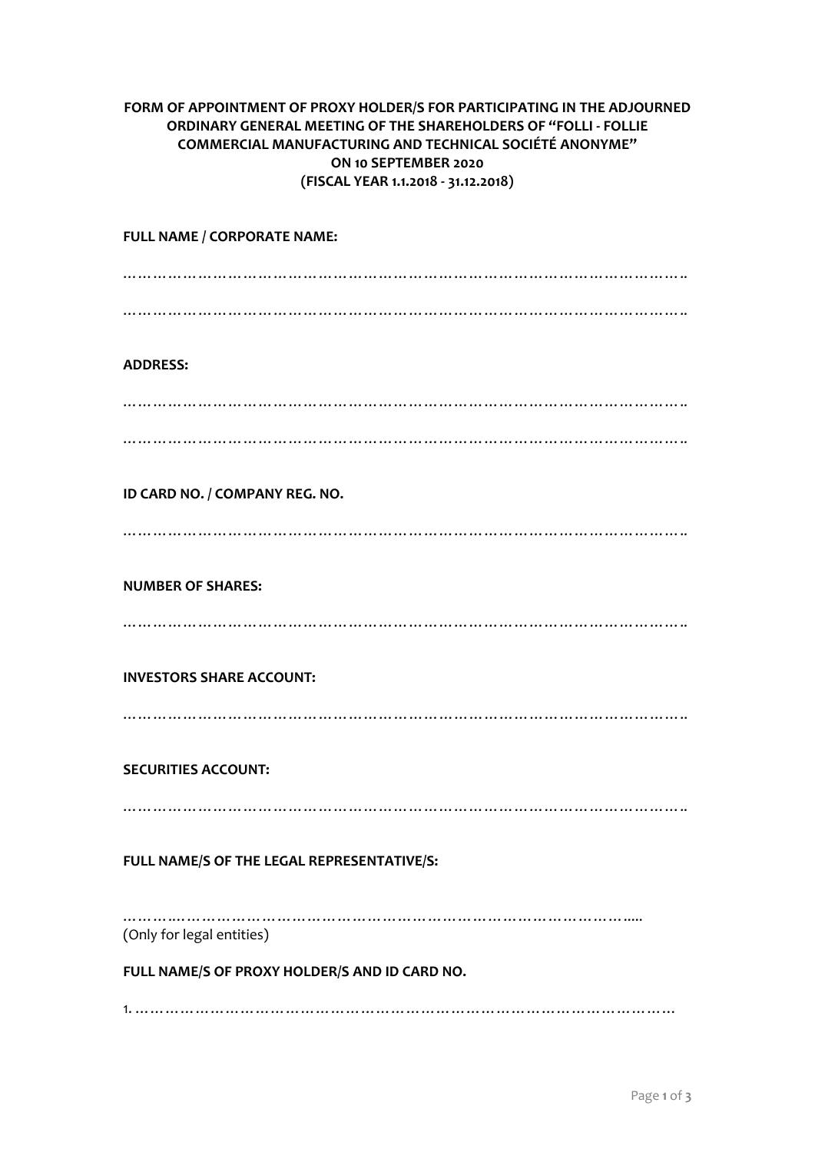## **FORM OF APPOINTMENT OF PROXY HOLDER/S FOR PARTICIPATING IN THE ADJOURNED ORDINARY GENERAL MEETING OF THE SHAREHOLDERS OF "FOLLI - FOLLIE COMMERCIAL MANUFACTURING AND TECHNICAL SOCIÉTÉ ANONYME" ON 10 SEPTEMBER 2020 (FISCAL YEAR 1.1.2018 - 31.12.2018)**

**FULL NAME / CORPORATE NAME:** ………………………………………………………………………………………………….. ………………………………………………………………………………………………….. **ADDRESS:** ………………………………………………………………………………………………….. ………………………………………………………………………………………………….. **ID CARD NO. / COMPANY REG. NO.** ………………………………………………………………………………………………….. **NUMBER OF SHARES:** ………………………………………………………………………………………………….. **INVESTORS SHARE ACCOUNT:** ………………………………………………………………………………………………….. **SECURITIES ACCOUNT:** ………………………………………………………………………………………………….. **FULL NAME/S OF THE LEGAL REPRESENTATIVE/S:** …………………………………………………………………………………………… (Only for legal entities)

**FULL NAME/S OF PROXY HOLDER/S AND ID CARD NO.**

1. ………………………………………………………………………………………………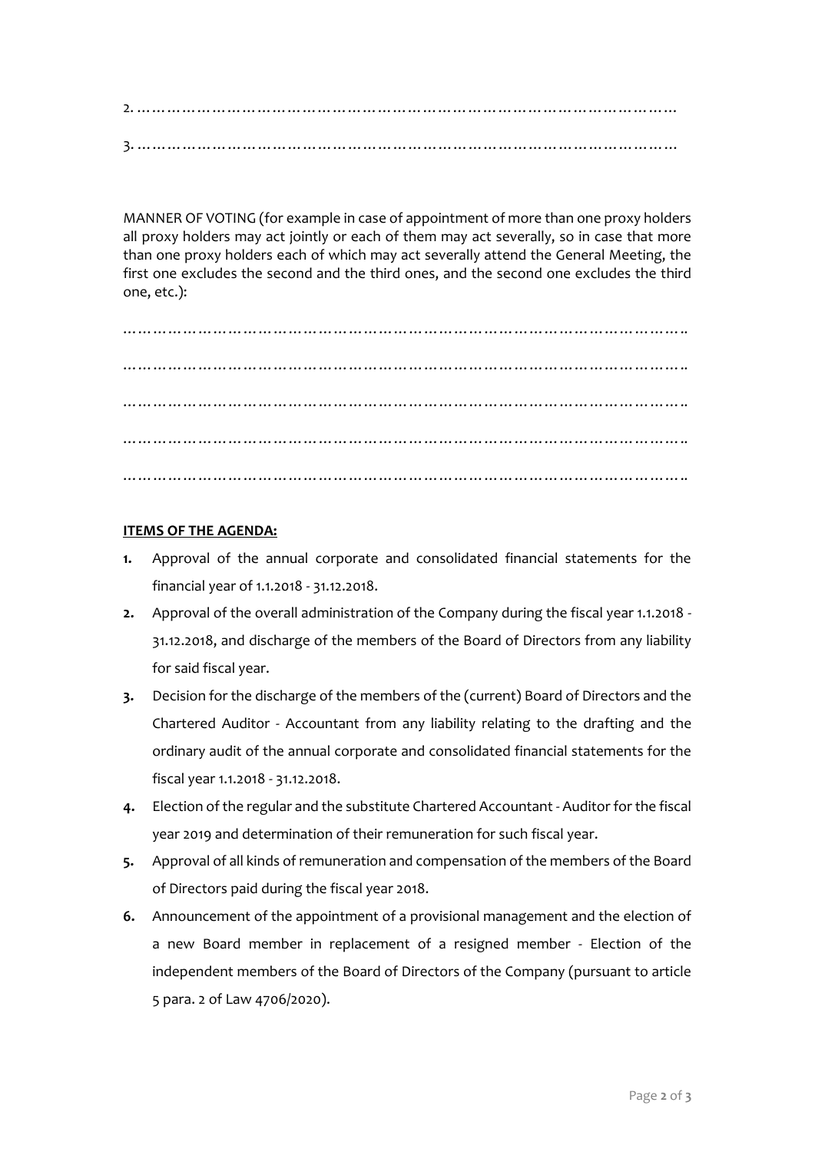2. ……………………………………………………………………………………………… 3. ………………………………………………………………………………………………

MANNER OF VOTING (for example in case of appointment of more than one proxy holders all proxy holders may act jointly or each of them may act severally, so in case that more than one proxy holders each of which may act severally attend the General Meeting, the first one excludes the second and the third ones, and the second one excludes the third one, etc.):

………………………………………………………………………………………………….. ………………………………………………………………………………………………….. ………………………………………………………………………………………………….. ………………………………………………………………………………………………….. …………………………………………………………………………………………………..

## **ITEMS OF THE AGENDA:**

- **1.** Approval of the annual corporate and consolidated financial statements for the financial year of 1.1.2018 - 31.12.2018.
- **2.** Approval of the overall administration of the Company during the fiscal year 1.1.2018 31.12.2018, and discharge of the members of the Board of Directors from any liability for said fiscal year.
- **3.** Decision for the discharge of the members of the (current) Board of Directors and the Chartered Auditor - Accountant from any liability relating to the drafting and the ordinary audit of the annual corporate and consolidated financial statements for the fiscal year 1.1.2018 - 31.12.2018.
- **4.** Election of the regular and the substitute Chartered Accountant Auditor for the fiscal year 2019 and determination of their remuneration for such fiscal year.
- **5.** Approval of all kinds of remuneration and compensation of the members of the Board of Directors paid during the fiscal year 2018.
- **6.** Announcement of the appointment of a provisional management and the election of a new Board member in replacement of a resigned member - Election of the independent members of the Board of Directors of the Company (pursuant to article 5 para. 2 of Law 4706/2020).